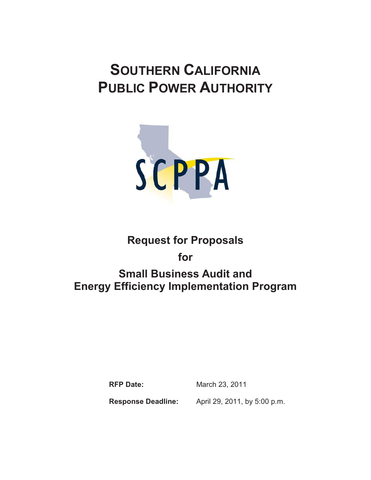# **SOUTHERN CALIFORNIA PUBLIC POWER AUTHORITY**



# **Request for Proposals**

**for** 

# **Small Business Audit and Energy Efficiency Implementation Program**

**RFP Date:** March 23, 2011

**Response Deadline:** April 29, 2011, by 5:00 p.m.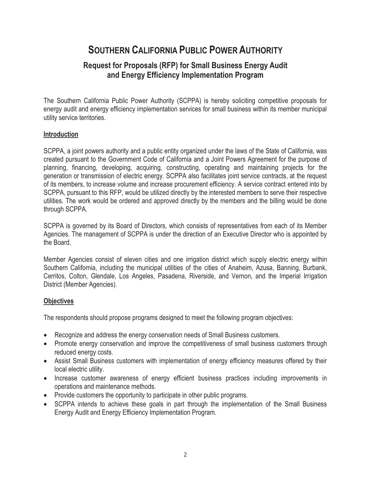# **SOUTHERN CALIFORNIA PUBLIC POWER AUTHORITY**

# **Request for Proposals (RFP) for Small Business Energy Audit and Energy Efficiency Implementation Program**

The Southern California Public Power Authority (SCPPA) is hereby soliciting competitive proposals for energy audit and energy efficiency implementation services for small business within its member municipal utility service territories.

### **Introduction**

SCPPA, a joint powers authority and a public entity organized under the laws of the State of California, was created pursuant to the Government Code of California and a Joint Powers Agreement for the purpose of planning, financing, developing, acquiring, constructing, operating and maintaining projects for the generation or transmission of electric energy. SCPPA also facilitates joint service contracts, at the request of its members, to increase volume and increase procurement efficiency. A service contract entered into by SCPPA, pursuant to this RFP, would be utilized directly by the interested members to serve their respective utilities. The work would be ordered and approved directly by the members and the billing would be done through SCPPA.

SCPPA is governed by its Board of Directors, which consists of representatives from each of its Member Agencies. The management of SCPPA is under the direction of an Executive Director who is appointed by the Board.

Member Agencies consist of eleven cities and one irrigation district which supply electric energy within Southern California, including the municipal utilities of the cities of Anaheim, Azusa, Banning, Burbank, Cerritos, Colton, Glendale, Los Angeles, Pasadena, Riverside, and Vernon, and the Imperial Irrigation District (Member Agencies).

#### **Objectives**

The respondents should propose programs designed to meet the following program objectives:

- Recognize and address the energy conservation needs of Small Business customers.
- Promote energy conservation and improve the competitiveness of small business customers through reduced energy costs.
- Assist Small Business customers with implementation of energy efficiency measures offered by their local electric utility.
- Increase customer awareness of energy efficient business practices including improvements in operations and maintenance methods.
- Provide customers the opportunity to participate in other public programs.
- SCPPA intends to achieve these goals in part through the implementation of the Small Business Energy Audit and Energy Efficiency Implementation Program.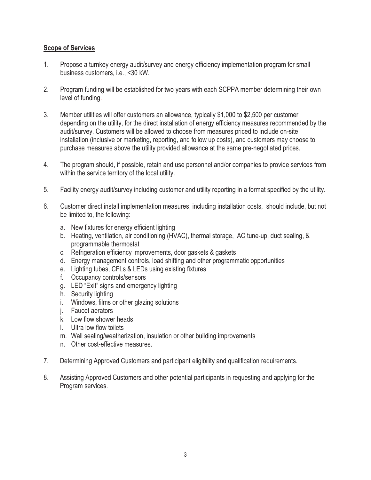#### **Scope of Services**

- 1. Propose a turnkey energy audit/survey and energy efficiency implementation program for small business customers, i.e., <30 kW.
- 2. Program funding will be established for two years with each SCPPA member determining their own level of funding.
- 3. Member utilities will offer customers an allowance, typically \$1,000 to \$2,500 per customer depending on the utility, for the direct installation of energy efficiency measures recommended by the audit/survey. Customers will be allowed to choose from measures priced to include on-site installation (inclusive or marketing, reporting, and follow up costs), and customers may choose to purchase measures above the utility provided allowance at the same pre-negotiated prices.
- 4. The program should, if possible, retain and use personnel and/or companies to provide services from within the service territory of the local utility.
- 5. Facility energy audit/survey including customer and utility reporting in a format specified by the utility.
- 6. Customer direct install implementation measures, including installation costs, should include, but not be limited to, the following:
	- a. New fixtures for energy efficient lighting
	- b. Heating, ventilation, air conditioning (HVAC), thermal storage, AC tune-up, duct sealing, & programmable thermostat
	- c. Refrigeration efficiency improvements, door gaskets & gaskets
	- d. Energy management controls, load shifting and other programmatic opportunities
	- e. Lighting tubes, CFLs & LEDs using existing fixtures
	- f. Occupancy controls/sensors
	- g. LED "Exit" signs and emergency lighting
	- h. Security lighting
	- i. Windows, films or other glazing solutions
	- j. Faucet aerators
	- k. Low flow shower heads
	- l. Ultra low flow toilets
	- m. Wall sealing/weatherization, insulation or other building improvements
	- n. Other cost-effective measures.
- 7. Determining Approved Customers and participant eligibility and qualification requirements.
- 8. Assisting Approved Customers and other potential participants in requesting and applying for the Program services.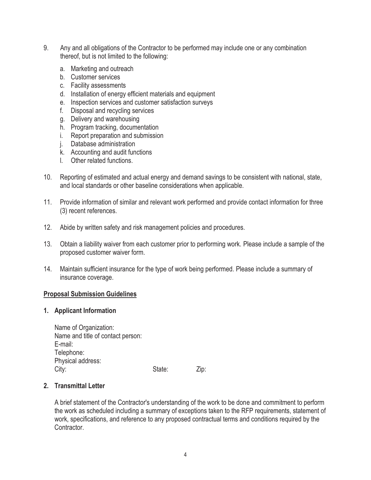- 9. Any and all obligations of the Contractor to be performed may include one or any combination thereof, but is not limited to the following:
	- a. Marketing and outreach
	- b. Customer services
	- c. Facility assessments
	- d. Installation of energy efficient materials and equipment
	- e. Inspection services and customer satisfaction surveys
	- f. Disposal and recycling services
	- g. Delivery and warehousing
	- h. Program tracking, documentation
	- i. Report preparation and submission
	- j. Database administration
	- k. Accounting and audit functions
	- l. Other related functions.
- 10. Reporting of estimated and actual energy and demand savings to be consistent with national, state, and local standards or other baseline considerations when applicable.
- 11. Provide information of similar and relevant work performed and provide contact information for three (3) recent references.
- 12. Abide by written safety and risk management policies and procedures.
- 13. Obtain a liability waiver from each customer prior to performing work. Please include a sample of the proposed customer waiver form.
- 14. Maintain sufficient insurance for the type of work being performed. Please include a summary of insurance coverage.

#### **Proposal Submission Guidelines**

#### **1. Applicant Information**

| Name of Organization:             |        |      |
|-----------------------------------|--------|------|
| Name and title of contact person: |        |      |
| E-mail:                           |        |      |
| Telephone:                        |        |      |
| Physical address:                 |        |      |
| City:                             | State: | Zip: |

#### **2. Transmittal Letter**

A brief statement of the Contractor's understanding of the work to be done and commitment to perform the work as scheduled including a summary of exceptions taken to the RFP requirements, statement of work, specifications, and reference to any proposed contractual terms and conditions required by the Contractor.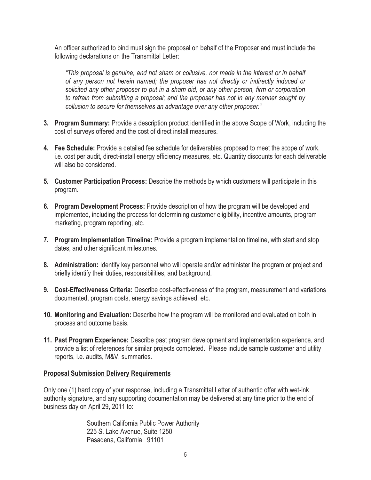An officer authorized to bind must sign the proposal on behalf of the Proposer and must include the following declarations on the Transmittal Letter:

*"This proposal is genuine, and not sham or collusive, nor made in the interest or in behalf of any person not herein named; the proposer has not directly or indirectly induced or solicited any other proposer to put in a sham bid, or any other person, firm or corporation to refrain from submitting a proposal; and the proposer has not in any manner sought by collusion to secure for themselves an advantage over any other proposer."*

- **3. Program Summary:** Provide a description product identified in the above Scope of Work, including the cost of surveys offered and the cost of direct install measures.
- **4. Fee Schedule:** Provide a detailed fee schedule for deliverables proposed to meet the scope of work, i.e. cost per audit, direct-install energy efficiency measures, etc. Quantity discounts for each deliverable will also be considered.
- **5. Customer Participation Process:** Describe the methods by which customers will participate in this program.
- **6. Program Development Process:** Provide description of how the program will be developed and implemented, including the process for determining customer eligibility, incentive amounts, program marketing, program reporting, etc.
- **7. Program Implementation Timeline:** Provide a program implementation timeline, with start and stop dates, and other significant milestones.
- **8. Administration:** Identify key personnel who will operate and/or administer the program or project and briefly identify their duties, responsibilities, and background.
- **9. Cost-Effectiveness Criteria:** Describe cost-effectiveness of the program, measurement and variations documented, program costs, energy savings achieved, etc.
- **10. Monitoring and Evaluation:** Describe how the program will be monitored and evaluated on both in process and outcome basis.
- **11. Past Program Experience:** Describe past program development and implementation experience, and provide a list of references for similar projects completed. Please include sample customer and utility reports, i.e. audits, M&V, summaries.

#### **Proposal Submission Delivery Requirements**

Only one (1) hard copy of your response, including a Transmittal Letter of authentic offer with wet-ink authority signature, and any supporting documentation may be delivered at any time prior to the end of business day on April 29, 2011 to:

> Southern California Public Power Authority 225 S. Lake Avenue, Suite 1250 Pasadena, California 91101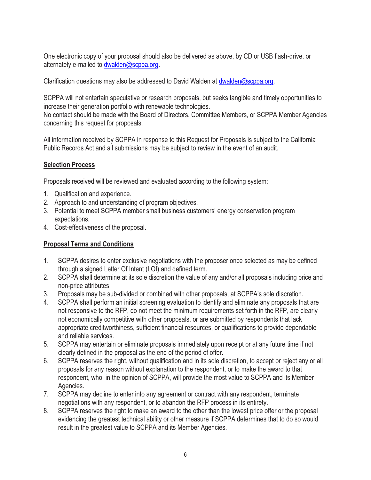One electronic copy of your proposal should also be delivered as above, by CD or USB flash-drive, or alternately e-mailed to dwalden@scppa.org.

Clarification questions may also be addressed to David Walden at dwalden@scppa.org.

SCPPA will not entertain speculative or research proposals, but seeks tangible and timely opportunities to increase their generation portfolio with renewable technologies.

No contact should be made with the Board of Directors, Committee Members, or SCPPA Member Agencies concerning this request for proposals.

All information received by SCPPA in response to this Request for Proposals is subject to the California Public Records Act and all submissions may be subject to review in the event of an audit.

## **Selection Process**

Proposals received will be reviewed and evaluated according to the following system:

- 1. Qualification and experience.
- 2. Approach to and understanding of program objectives.
- 3. Potential to meet SCPPA member small business customers' energy conservation program expectations.
- 4. Cost-effectiveness of the proposal.

### **Proposal Terms and Conditions**

- 1. SCPPA desires to enter exclusive negotiations with the proposer once selected as may be defined through a signed Letter Of Intent (LOI) and defined term.
- 2. SCPPA shall determine at its sole discretion the value of any and/or all proposals including price and non-price attributes.
- 3. Proposals may be sub-divided or combined with other proposals, at SCPPA's sole discretion.
- 4. SCPPA shall perform an initial screening evaluation to identify and eliminate any proposals that are not responsive to the RFP, do not meet the minimum requirements set forth in the RFP, are clearly not economically competitive with other proposals, or are submitted by respondents that lack appropriate creditworthiness, sufficient financial resources, or qualifications to provide dependable and reliable services.
- 5. SCPPA may entertain or eliminate proposals immediately upon receipt or at any future time if not clearly defined in the proposal as the end of the period of offer.
- 6. SCPPA reserves the right, without qualification and in its sole discretion, to accept or reject any or all proposals for any reason without explanation to the respondent, or to make the award to that respondent, who, in the opinion of SCPPA, will provide the most value to SCPPA and its Member Agencies.
- 7. SCPPA may decline to enter into any agreement or contract with any respondent, terminate negotiations with any respondent, or to abandon the RFP process in its entirety.
- 8. SCPPA reserves the right to make an award to the other than the lowest price offer or the proposal evidencing the greatest technical ability or other measure if SCPPA determines that to do so would result in the greatest value to SCPPA and its Member Agencies.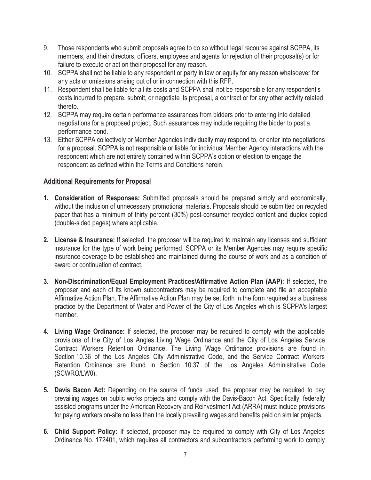- 9. Those respondents who submit proposals agree to do so without legal recourse against SCPPA, its members, and their directors, officers, employees and agents for rejection of their proposal(s) or for failure to execute or act on their proposal for any reason.
- 10. SCPPA shall not be liable to any respondent or party in law or equity for any reason whatsoever for any acts or omissions arising out of or in connection with this RFP.
- 11. Respondent shall be liable for all its costs and SCPPA shall not be responsible for any respondent's costs incurred to prepare, submit, or negotiate its proposal, a contract or for any other activity related thereto.
- 12. SCPPA may require certain performance assurances from bidders prior to entering into detailed negotiations for a proposed project. Such assurances may include requiring the bidder to post a performance bond.
- 13. Either SCPPA collectively or Member Agencies individually may respond to, or enter into negotiations for a proposal. SCPPA is not responsible or liable for individual Member Agency interactions with the respondent which are not entirely contained within SCPPA's option or election to engage the respondent as defined within the Terms and Conditions herein.

### **Additional Requirements for Proposal**

- **1. Consideration of Responses:** Submitted proposals should be prepared simply and economically, without the inclusion of unnecessary promotional materials. Proposals should be submitted on recycled paper that has a minimum of thirty percent (30%) post-consumer recycled content and duplex copied (double-sided pages) where applicable.
- **2. License & Insurance:** If selected, the proposer will be required to maintain any licenses and sufficient insurance for the type of work being performed. SCPPA or its Member Agencies may require specific insurance coverage to be established and maintained during the course of work and as a condition of award or continuation of contract.
- **3. Non-Discrimination/Equal Employment Practices/Affirmative Action Plan (AAP):** If selected, the proposer and each of its known subcontractors may be required to complete and file an acceptable Affirmative Action Plan. The Affirmative Action Plan may be set forth in the form required as a business practice by the Department of Water and Power of the City of Los Angeles which is SCPPA's largest member.
- **4. Living Wage Ordinance:** If selected, the proposer may be required to comply with the applicable provisions of the City of Los Angles Living Wage Ordinance and the City of Los Angeles Service Contract Workers Retention Ordinance. The Living Wage Ordinance provisions are found in Section 10.36 of the Los Angeles City Administrative Code, and the Service Contract Workers Retention Ordinance are found in Section 10.37 of the Los Angeles Administrative Code (SCWRO/LW0).
- **5. Davis Bacon Act:** Depending on the source of funds used, the proposer may be required to pay prevailing wages on public works projects and comply with the Davis-Bacon Act. Specifically, federally assisted programs under the American Recovery and Reinvestment Act (ARRA) must include provisions for paying workers on-site no less than the locally prevailing wages and benefits paid on similar projects.
- **6. Child Support Policy:** If selected, proposer may be required to comply with City of Los Angeles Ordinance No. 172401, which requires all contractors and subcontractors performing work to comply